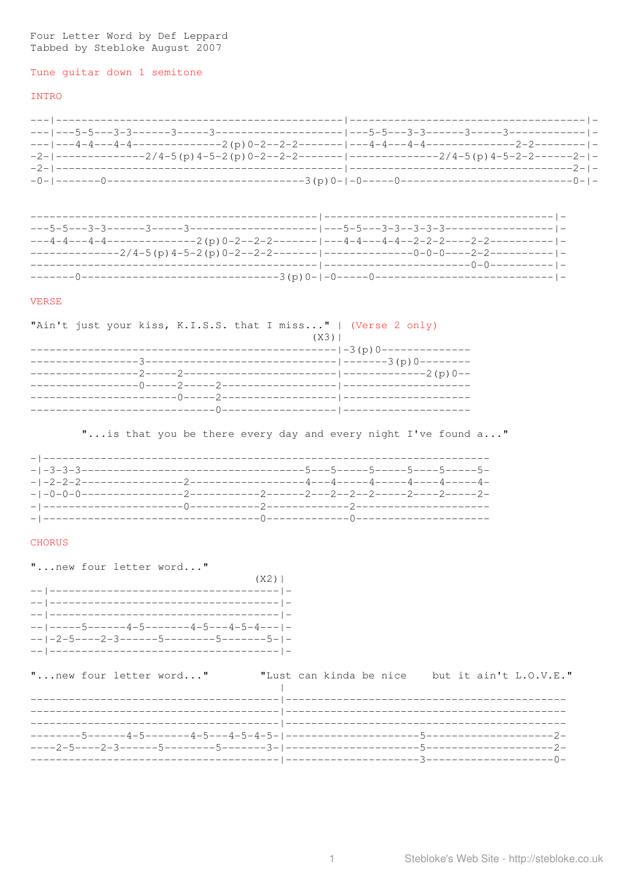# Four Letter Word by Def Leppard<br>Tabbed by Stebloke August 2007

# Tune guitar down 1 semitone

# INTRO

| $-2$ - --------------2/4-5(p)4-5-2(p)0-2--2-2------- ----------------2/4-5(p)4-5-2-2-------2- - |                                          |  |
|-------------------------------------------------------------------------------------------------|------------------------------------------|--|
| -2-1------------------------                                                                    | -----------------------------------2- -- |  |
|                                                                                                 |                                          |  |

#### VERSE

|  |  | "Ain't just your kiss, K.I.S.S. that I miss"   (Verse 2 only) |  |        |  |  |
|--|--|---------------------------------------------------------------|--|--------|--|--|
|  |  |                                                               |  | $(X3)$ |  |  |
|  |  |                                                               |  |        |  |  |
|  |  |                                                               |  |        |  |  |
|  |  |                                                               |  |        |  |  |
|  |  |                                                               |  |        |  |  |
|  |  |                                                               |  |        |  |  |
|  |  |                                                               |  |        |  |  |

"... is that you be there every day and every night I've found a..."

| $-1-0-0-0$ |  |  |
|------------|--|--|
|            |  |  |
|            |  |  |

# CHORUS

"... new four letter word..."

| $(X2)$                                      |  |
|---------------------------------------------|--|
|                                             |  |
|                                             |  |
|                                             |  |
| -- -----5------4-5--------4-5---4-5-4--- -  |  |
| -- $-$ -2-5----2-3------5--------5-------5- |  |
|                                             |  |

| "new four letter word" |  |  |  |  | "Lust can kinda be nice but it ain't L.O.V.E." |  |  |  |
|------------------------|--|--|--|--|------------------------------------------------|--|--|--|
|                        |  |  |  |  |                                                |  |  |  |
|                        |  |  |  |  |                                                |  |  |  |
|                        |  |  |  |  |                                                |  |  |  |
|                        |  |  |  |  |                                                |  |  |  |
|                        |  |  |  |  |                                                |  |  |  |
|                        |  |  |  |  |                                                |  |  |  |